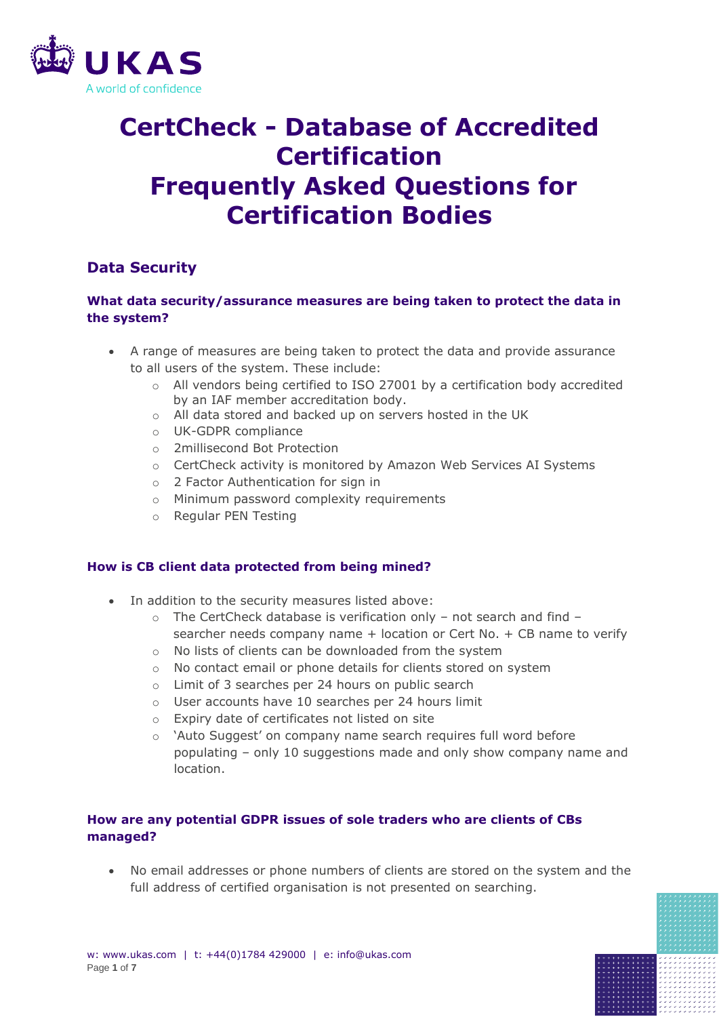

# **CertCheck - Database of Accredited Certification Frequently Asked Questions for Certification Bodies**

# **Data Security**

# **What data security/assurance measures are being taken to protect the data in the system?**

- A range of measures are being taken to protect the data and provide assurance to all users of the system. These include:
	- o All vendors being certified to ISO 27001 by a certification body accredited by an IAF member accreditation body.
	- o All data stored and backed up on servers hosted in the UK
	- o UK-GDPR compliance
	- o 2millisecond Bot Protection
	- o CertCheck activity is monitored by Amazon Web Services AI Systems
	- o 2 Factor Authentication for sign in
	- o Minimum password complexity requirements
	- o Regular PEN Testing

## **How is CB client data protected from being mined?**

- In addition to the security measures listed above:
	- o The CertCheck database is verification only not search and find searcher needs company name + location or Cert No. + CB name to verify
	- o No lists of clients can be downloaded from the system
	- o No contact email or phone details for clients stored on system
	- o Limit of 3 searches per 24 hours on public search
	- o User accounts have 10 searches per 24 hours limit
	- o Expiry date of certificates not listed on site
	- $\circ$  'Auto Suggest' on company name search requires full word before populating – only 10 suggestions made and only show company name and location.

# **How are any potential GDPR issues of sole traders who are clients of CBs managed?**

• No email addresses or phone numbers of clients are stored on the system and the full address of certified organisation is not presented on searching.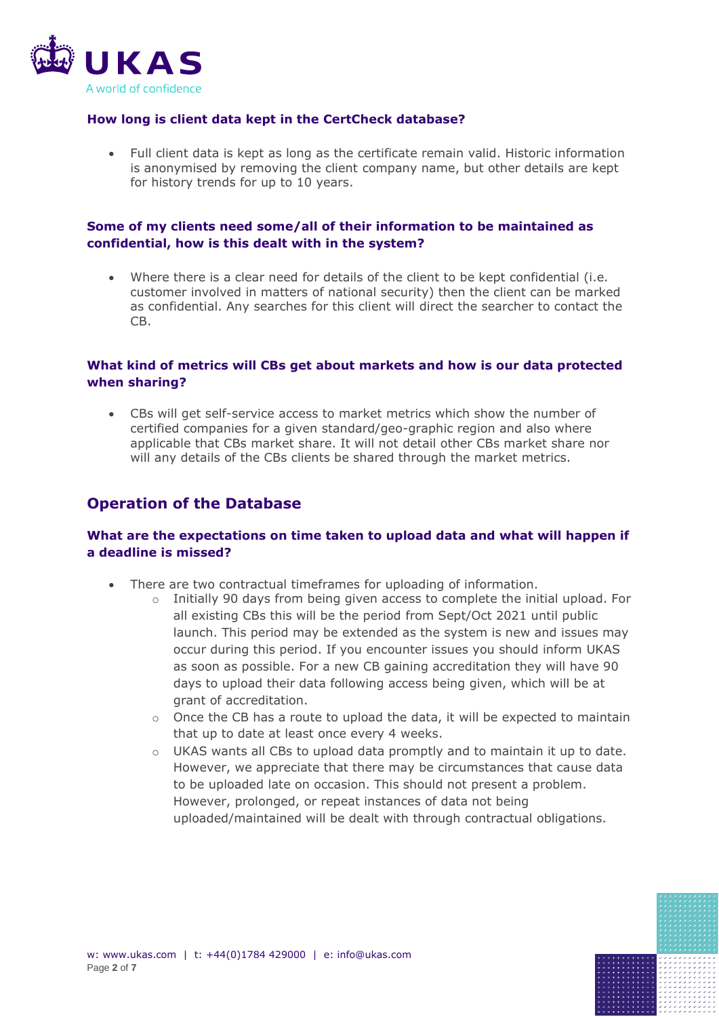

# **How long is client data kept in the CertCheck database?**

• Full client data is kept as long as the certificate remain valid. Historic information is anonymised by removing the client company name, but other details are kept for history trends for up to 10 years.

# **Some of my clients need some/all of their information to be maintained as confidential, how is this dealt with in the system?**

• Where there is a clear need for details of the client to be kept confidential (i.e. customer involved in matters of national security) then the client can be marked as confidential. Any searches for this client will direct the searcher to contact the CB.

## **What kind of metrics will CBs get about markets and how is our data protected when sharing?**

• CBs will get self-service access to market metrics which show the number of certified companies for a given standard/geo-graphic region and also where applicable that CBs market share. It will not detail other CBs market share nor will any details of the CBs clients be shared through the market metrics.

# **Operation of the Database**

## **What are the expectations on time taken to upload data and what will happen if a deadline is missed?**

- There are two contractual timeframes for uploading of information.
	- o Initially 90 days from being given access to complete the initial upload. For all existing CBs this will be the period from Sept/Oct 2021 until public launch. This period may be extended as the system is new and issues may occur during this period. If you encounter issues you should inform UKAS as soon as possible. For a new CB gaining accreditation they will have 90 days to upload their data following access being given, which will be at grant of accreditation.
	- $\circ$  Once the CB has a route to upload the data, it will be expected to maintain that up to date at least once every 4 weeks.
	- $\circ$  UKAS wants all CBs to upload data promptly and to maintain it up to date. However, we appreciate that there may be circumstances that cause data to be uploaded late on occasion. This should not present a problem. However, prolonged, or repeat instances of data not being uploaded/maintained will be dealt with through contractual obligations.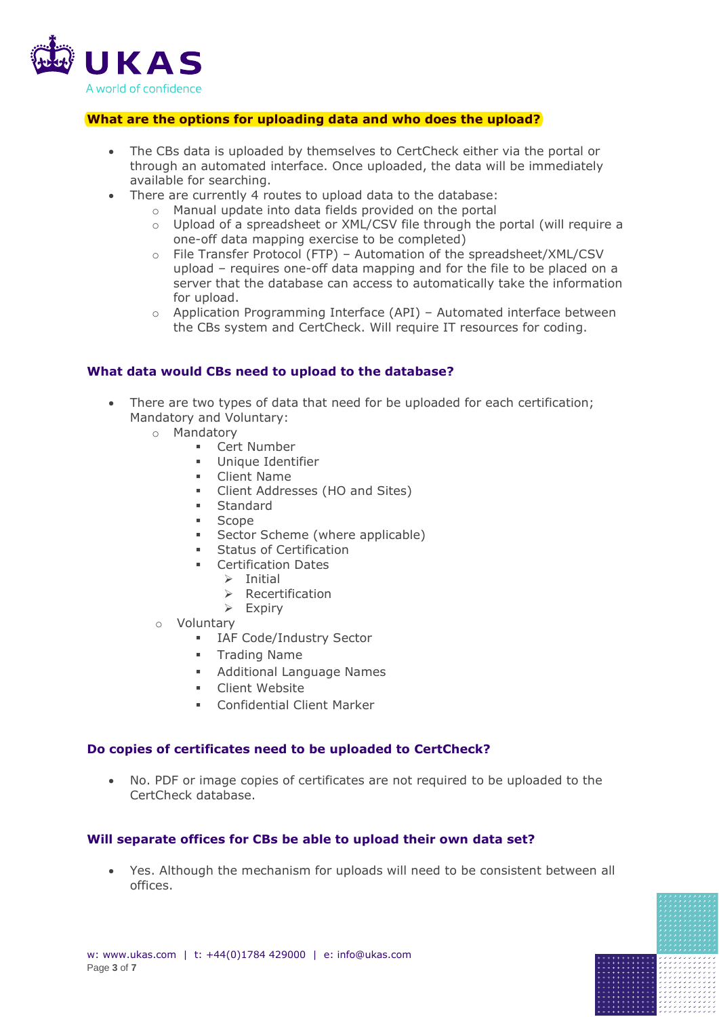

#### **What are the options for uploading data and who does the upload?**

- The CBs data is uploaded by themselves to CertCheck either via the portal or through an automated interface. Once uploaded, the data will be immediately available for searching.
- There are currently 4 routes to upload data to the database:
	- o Manual update into data fields provided on the portal
	- o Upload of a spreadsheet or XML/CSV file through the portal (will require a one-off data mapping exercise to be completed)
	- o File Transfer Protocol (FTP) Automation of the spreadsheet/XML/CSV upload – requires one-off data mapping and for the file to be placed on a server that the database can access to automatically take the information for upload.
	- $\circ$  Application Programming Interface (API) Automated interface between the CBs system and CertCheck. Will require IT resources for coding.

#### **What data would CBs need to upload to the database?**

- There are two types of data that need for be uploaded for each certification; Mandatory and Voluntary:
	- o Mandatory
		- Cert Number
		- Unique Identifier
		- Client Name
		- Client Addresses (HO and Sites)
		- Standard
		- Scope
		- **•** Sector Scheme (where applicable)
		- Status of Certification
		- **Certification Dates** 
			- ➢ Initial
			- ➢ Recertification
			- ➢ Expiry
	- o Voluntary
		- **IAF Code/Industry Sector**
		- Trading Name
		- Additional Language Names
		- **·** Client Website
		- Confidential Client Marker

#### **Do copies of certificates need to be uploaded to CertCheck?**

• No. PDF or image copies of certificates are not required to be uploaded to the CertCheck database.

#### **Will separate offices for CBs be able to upload their own data set?**

• Yes. Although the mechanism for uploads will need to be consistent between all offices.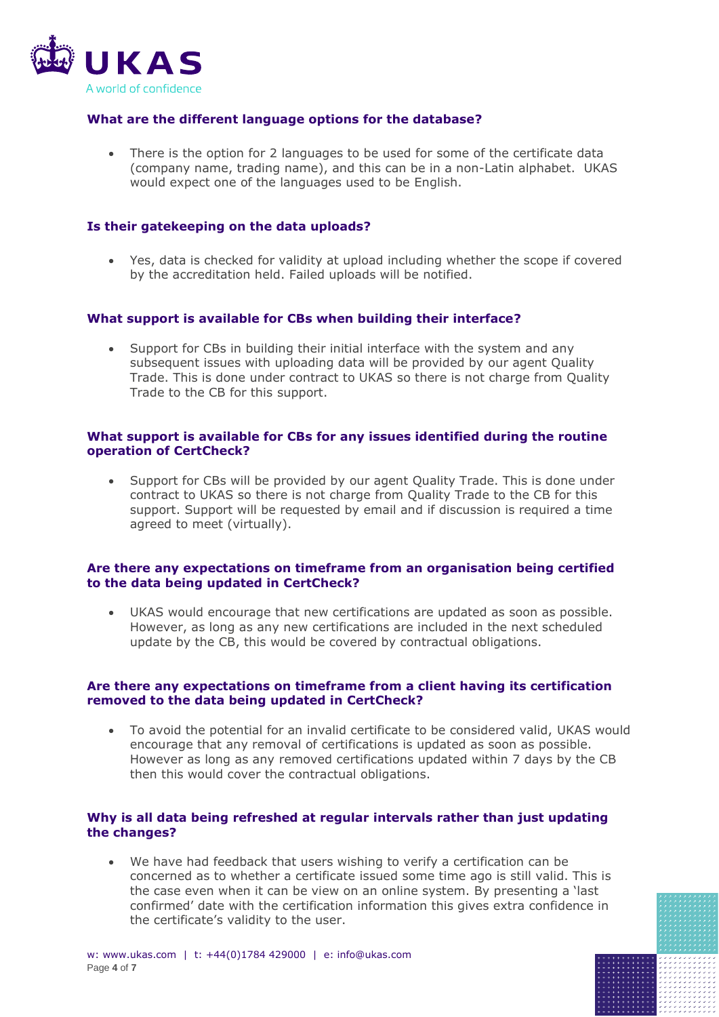

## **What are the different language options for the database?**

• There is the option for 2 languages to be used for some of the certificate data (company name, trading name), and this can be in a non-Latin alphabet. UKAS would expect one of the languages used to be English.

#### **Is their gatekeeping on the data uploads?**

• Yes, data is checked for validity at upload including whether the scope if covered by the accreditation held. Failed uploads will be notified.

#### **What support is available for CBs when building their interface?**

• Support for CBs in building their initial interface with the system and any subsequent issues with uploading data will be provided by our agent Quality Trade. This is done under contract to UKAS so there is not charge from Quality Trade to the CB for this support.

#### **What support is available for CBs for any issues identified during the routine operation of CertCheck?**

• Support for CBs will be provided by our agent Quality Trade. This is done under contract to UKAS so there is not charge from Quality Trade to the CB for this support. Support will be requested by email and if discussion is required a time agreed to meet (virtually).

#### **Are there any expectations on timeframe from an organisation being certified to the data being updated in CertCheck?**

• UKAS would encourage that new certifications are updated as soon as possible. However, as long as any new certifications are included in the next scheduled update by the CB, this would be covered by contractual obligations.

#### **Are there any expectations on timeframe from a client having its certification removed to the data being updated in CertCheck?**

• To avoid the potential for an invalid certificate to be considered valid, UKAS would encourage that any removal of certifications is updated as soon as possible. However as long as any removed certifications updated within 7 days by the CB then this would cover the contractual obligations.

#### **Why is all data being refreshed at regular intervals rather than just updating the changes?**

• We have had feedback that users wishing to verify a certification can be concerned as to whether a certificate issued some time ago is still valid. This is the case even when it can be view on an online system. By presenting a 'last confirmed' date with the certification information this gives extra confidence in the certificate's validity to the user.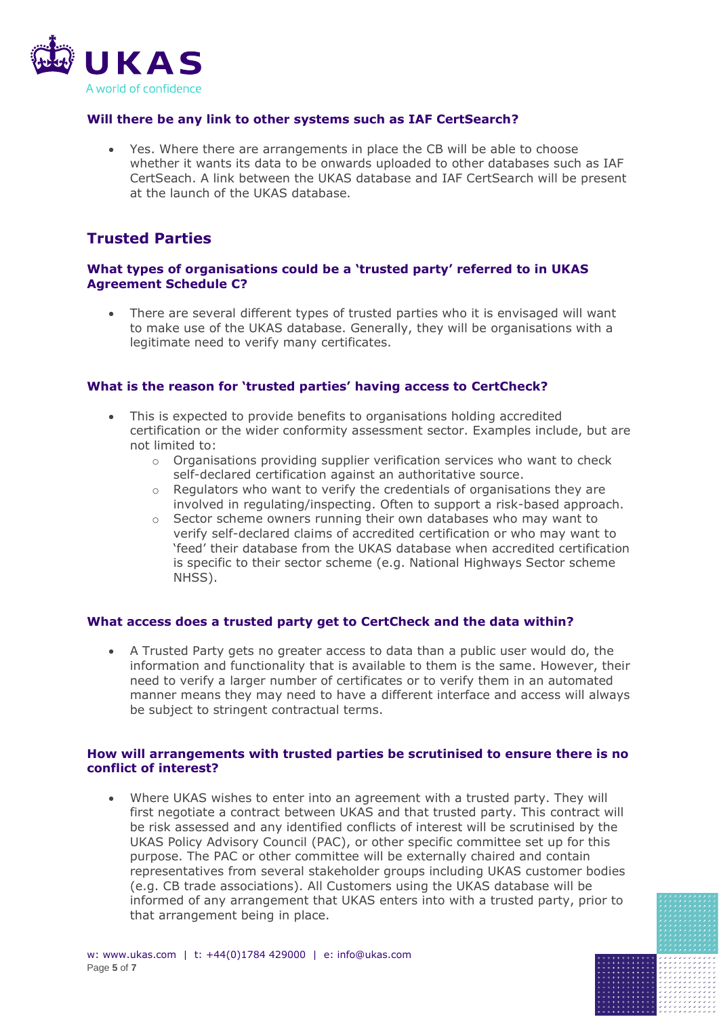

## **Will there be any link to other systems such as IAF CertSearch?**

• Yes. Where there are arrangements in place the CB will be able to choose whether it wants its data to be onwards uploaded to other databases such as IAF CertSeach. A link between the UKAS database and IAF CertSearch will be present at the launch of the UKAS database.

# **Trusted Parties**

#### **What types of organisations could be a 'trusted party' referred to in UKAS Agreement Schedule C?**

• There are several different types of trusted parties who it is envisaged will want to make use of the UKAS database. Generally, they will be organisations with a legitimate need to verify many certificates.

#### **What is the reason for 'trusted parties' having access to CertCheck?**

- This is expected to provide benefits to organisations holding accredited certification or the wider conformity assessment sector. Examples include, but are not limited to:
	- $\circ$  Organisations providing supplier verification services who want to check self-declared certification against an authoritative source.
	- o Regulators who want to verify the credentials of organisations they are involved in regulating/inspecting. Often to support a risk-based approach.
	- $\circ$  Sector scheme owners running their own databases who may want to verify self-declared claims of accredited certification or who may want to 'feed' their database from the UKAS database when accredited certification is specific to their sector scheme (e.g. National Highways Sector scheme NHSS).

#### **What access does a trusted party get to CertCheck and the data within?**

• A Trusted Party gets no greater access to data than a public user would do, the information and functionality that is available to them is the same. However, their need to verify a larger number of certificates or to verify them in an automated manner means they may need to have a different interface and access will always be subject to stringent contractual terms.

#### **How will arrangements with trusted parties be scrutinised to ensure there is no conflict of interest?**

• Where UKAS wishes to enter into an agreement with a trusted party. They will first negotiate a contract between UKAS and that trusted party. This contract will be risk assessed and any identified conflicts of interest will be scrutinised by the UKAS Policy Advisory Council (PAC), or other specific committee set up for this purpose. The PAC or other committee will be externally chaired and contain representatives from several stakeholder groups including UKAS customer bodies (e.g. CB trade associations). All Customers using the UKAS database will be informed of any arrangement that UKAS enters into with a trusted party, prior to that arrangement being in place.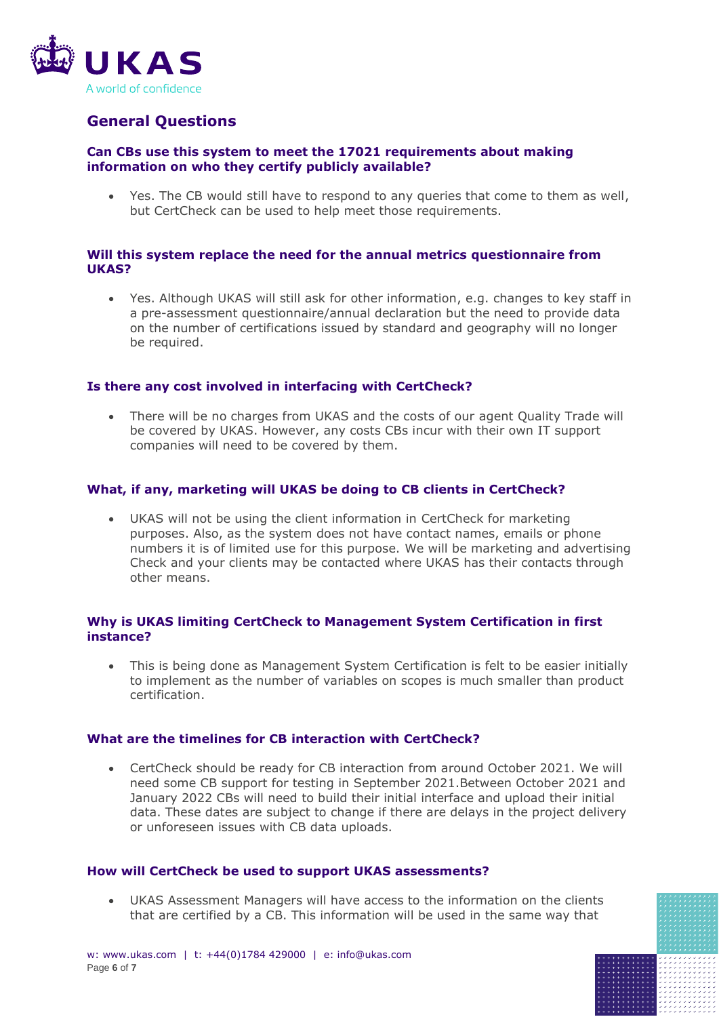

# **General Questions**

#### **Can CBs use this system to meet the 17021 requirements about making information on who they certify publicly available?**

• Yes. The CB would still have to respond to any queries that come to them as well, but CertCheck can be used to help meet those requirements.

#### **Will this system replace the need for the annual metrics questionnaire from UKAS?**

• Yes. Although UKAS will still ask for other information, e.g. changes to key staff in a pre-assessment questionnaire/annual declaration but the need to provide data on the number of certifications issued by standard and geography will no longer be required.

#### **Is there any cost involved in interfacing with CertCheck?**

• There will be no charges from UKAS and the costs of our agent Quality Trade will be covered by UKAS. However, any costs CBs incur with their own IT support companies will need to be covered by them.

#### **What, if any, marketing will UKAS be doing to CB clients in CertCheck?**

• UKAS will not be using the client information in CertCheck for marketing purposes. Also, as the system does not have contact names, emails or phone numbers it is of limited use for this purpose. We will be marketing and advertising Check and your clients may be contacted where UKAS has their contacts through other means.

#### **Why is UKAS limiting CertCheck to Management System Certification in first instance?**

• This is being done as Management System Certification is felt to be easier initially to implement as the number of variables on scopes is much smaller than product certification.

## **What are the timelines for CB interaction with CertCheck?**

• CertCheck should be ready for CB interaction from around October 2021. We will need some CB support for testing in September 2021.Between October 2021 and January 2022 CBs will need to build their initial interface and upload their initial data. These dates are subject to change if there are delays in the project delivery or unforeseen issues with CB data uploads.

#### **How will CertCheck be used to support UKAS assessments?**

• UKAS Assessment Managers will have access to the information on the clients that are certified by a CB. This information will be used in the same way that